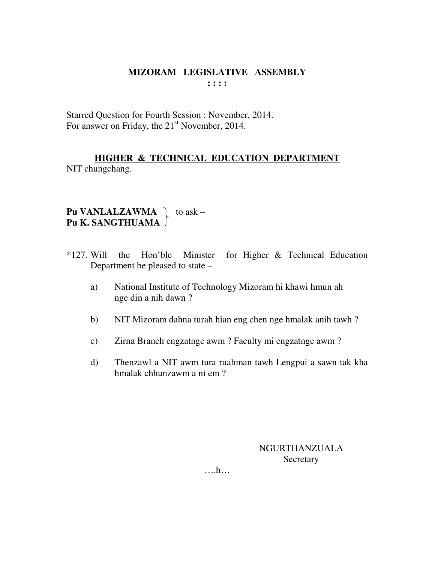Starred Question for Fourth Session : November, 2014. For answer on Friday, the 21<sup>st</sup> November, 2014.

# **HIGHER & TECHNICAL EDUCATION DEPARTMENT** NIT chungchang.

# **Pu VANLALZAWMA**  $\vert$  to ask – **Pu K. SANGTHUAMA**

- \*127. Will the Hon'ble Minister for Higher & Technical Education Department be pleased to state –
	- a) National Institute of Technology Mizoram hi khawi hmun ah nge din a nih dawn ?
	- b) NIT Mizoram dahna turah hian eng chen nge hmalak anih tawh ?
	- c) Zirna Branch engzatnge awm ? Faculty mi engzatnge awm ?
	- d) Thenzawl a NIT awm tura ruahman tawh Lengpui a sawn tak kha hmalak chhunzawm a ni em ?

NGURTHANZUALA **Secretary** 

….h…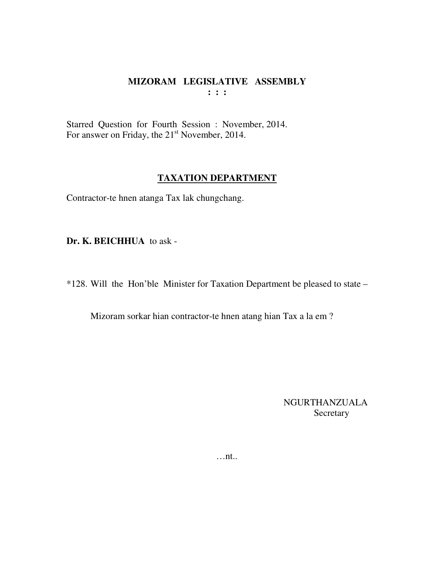Starred Question for Fourth Session : November, 2014. For answer on Friday, the 21<sup>st</sup> November, 2014.

## **TAXATION DEPARTMENT**

Contractor-te hnen atanga Tax lak chungchang.

**Dr. K. BEICHHUA** to ask -

\*128. Will the Hon'ble Minister for Taxation Department be pleased to state –

Mizoram sorkar hian contractor-te hnen atang hian Tax a la em ?

NGURTHANZUALA Secretary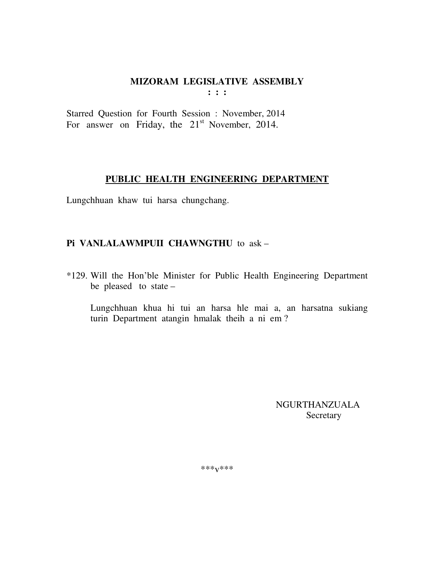## MIZORAM LEGISLATIVE ASSEMBLY  $\mathbf{1}$  :  $\mathbf{1}$

Starred Question for Fourth Session: November, 2014 For answer on Friday, the  $21<sup>st</sup>$  November, 2014.

# PUBLIC HEALTH ENGINEERING DEPARTMENT

Lungchhuan khaw tui harsa chungchang.

# Pi VANLALAWMPUII CHAWNGTHU to ask-

\*129. Will the Hon'ble Minister for Public Health Engineering Department be pleased to state -

Lungchhuan khua hi tui an harsa hle mai a, an harsatna sukiang turin Department atangin hmalak theih a ni em?

> **NGURTHANZUALA** Secretary

\*\*\* $V$ \*\*\*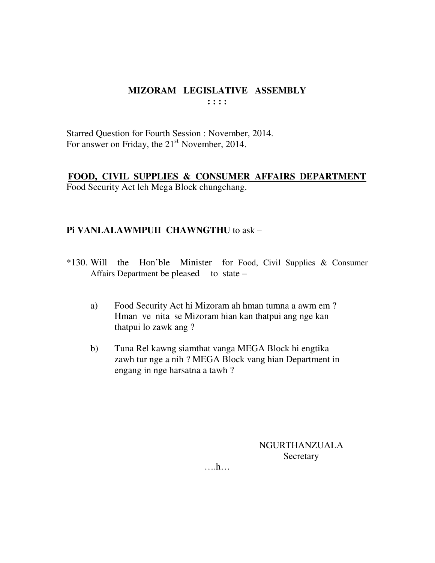Starred Question for Fourth Session : November, 2014. For answer on Friday, the 21<sup>st</sup> November, 2014.

## FOOD, CIVIL SUPPLIES & CONSUMER AFFAIRS DEPARTMENT Food Security Act leh Mega Block chungchang.

# Pi VANLALAWMPUII CHAWNGTHU to ask -

- \*130. Will the Hon'ble Minister for Food, Civil Supplies & Consumer Affairs Department be pleased to state –
	- Food Security Act hi Mizoram ah hman tumna a awm em? a) Hman ve nita se Mizoram hian kan thatpui ang nge kan thatpui lo zawk ang?
	- $b)$ Tuna Rel kawng siamthat vanga MEGA Block hi engtika zawh tur nge a nih ? MEGA Block vang hian Department in engang in nge harsatna a tawh?

NGURTHANZUALA Secretary

 $\dots h\dots$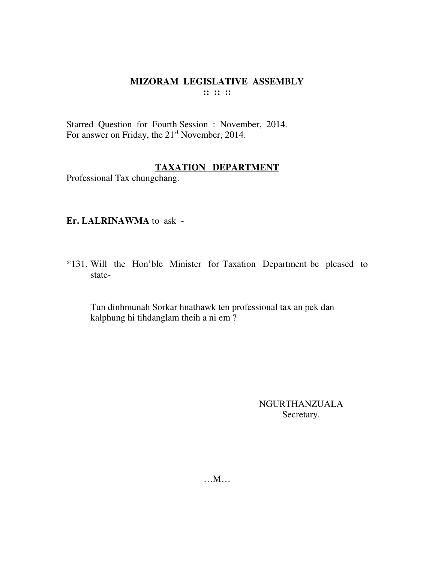Starred Question for Fourth Session : November, 2014. For answer on Friday, the 21<sup>st</sup> November, 2014.

# **TAXATION DEPARTMENT**

Professional Tax chungchang.

## Er. LALRINAWMA to ask -

\*131. Will the Hon'ble Minister for Taxation Department be pleased to state-

Tun dinhmunah Sorkar hnathawk ten professional tax an pek dan kalphung hi tihdanglam theih a ni em?

> **NGURTHANZUALA** Secretary.

 $\ldots$ M $\ldots$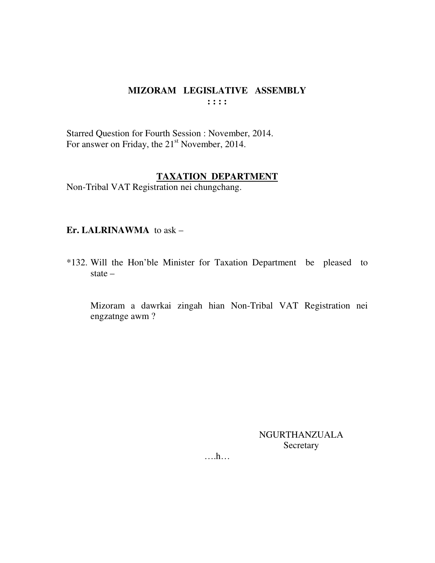Starred Question for Fourth Session : November, 2014. For answer on Friday, the 21<sup>st</sup> November, 2014.

## **TAXATION DEPARTMENT**

Non-Tribal VAT Registration nei chungchang.

#### Er. LALRINAWMA to ask -

\*132. Will the Hon'ble Minister for Taxation Department be pleased to state  $-$ 

Mizoram a dawrkai zingah hian Non-Tribal VAT Registration nei engzatnge awm?

> **NGURTHANZUALA** Secretary

 $\dots$ ...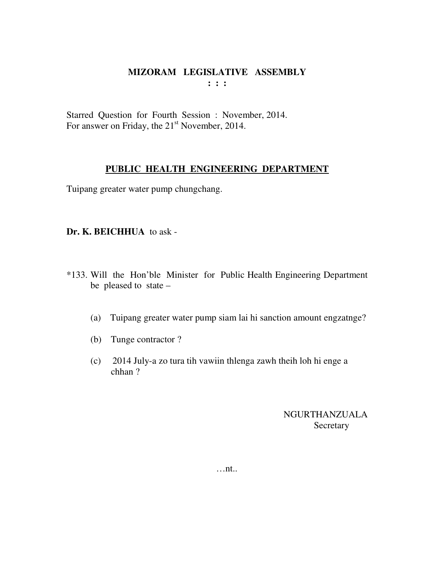Starred Question for Fourth Session : November, 2014. For answer on Friday, the 21<sup>st</sup> November, 2014.

## **PUBLIC HEALTH ENGINEERING DEPARTMENT**

Tuipang greater water pump chungchang.

## **Dr. K. BEICHHUA** to ask -

- \*133. Will the Hon'ble Minister for Public Health Engineering Department be pleased to state –
	- (a) Tuipang greater water pump siam lai hi sanction amount engzatnge?
	- (b) Tunge contractor ?
	- (c) 2014 July-a zo tura tih vawiin thlenga zawh theih loh hi enge a chhan ?

NGURTHANZUALA Secretary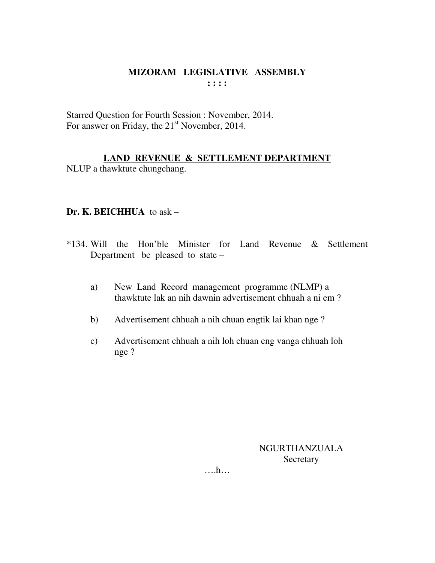Starred Question for Fourth Session : November, 2014. For answer on Friday, the 21<sup>st</sup> November, 2014.

# **LAND REVENUE & SETTLEMENT DEPARTMENT**

NLUP a thawktute chungchang.

# **Dr. K. BEICHHUA** to ask –

- \*134. Will the Hon'ble Minister for Land Revenue & Settlement Department be pleased to state –
	- a) New Land Record management programme (NLMP) a thawktute lak an nih dawnin advertisement chhuah a ni em ?
	- b) Advertisement chhuah a nih chuan engtik lai khan nge ?
	- c) Advertisement chhuah a nih loh chuan eng vanga chhuah loh nge ?

NGURTHANZUALA **Secretary** 

….h…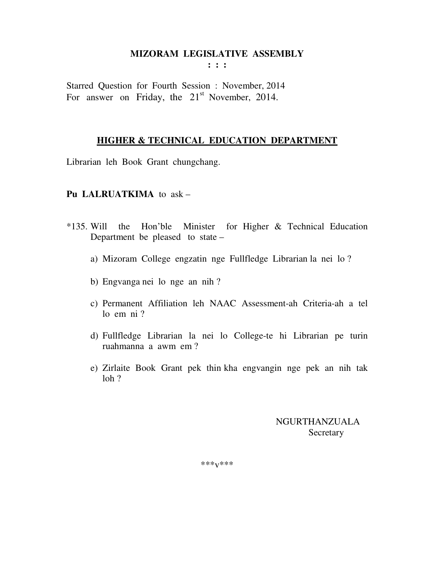**: : :** 

Starred Question for Fourth Session : November, 2014 For answer on Friday, the  $21<sup>st</sup>$  November, 2014.

## **HIGHER & TECHNICAL EDUCATION DEPARTMENT**

Librarian leh Book Grant chungchang.

#### **Pu LALRUATKIMA** to ask –

- \*135. Will the Hon'ble Minister for Higher & Technical Education Department be pleased to state –
	- a) Mizoram College engzatin nge Fullfledge Librarian la nei lo ?
	- b) Engvanga nei lo nge an nih ?
	- c) Permanent Affiliation leh NAAC Assessment-ah Criteria-ah a tel lo em ni ?
	- d) Fullfledge Librarian la nei lo College-te hi Librarian pe turin ruahmanna a awm em ?
	- e) Zirlaite Book Grant pek thin kha engvangin nge pek an nih tak loh ?

 NGURTHANZUALA Secretary

\*\*\*v\*\*\*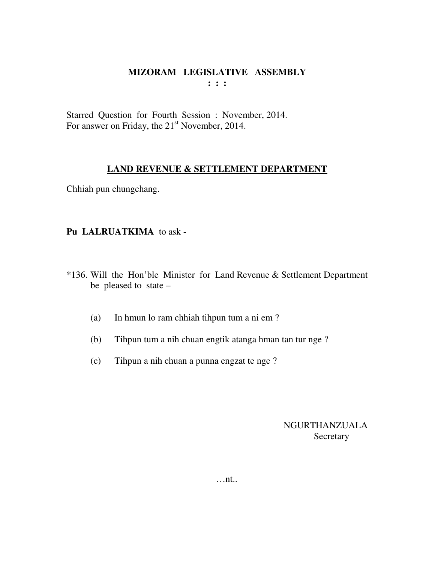Starred Question for Fourth Session : November, 2014. For answer on Friday, the 21<sup>st</sup> November, 2014.

## **LAND REVENUE & SETTLEMENT DEPARTMENT**

Chhiah pun chungchang.

# **Pu LALRUATKIMA** to ask -

- \*136. Will the Hon'ble Minister for Land Revenue & Settlement Department be pleased to state –
	- (a) In hmun lo ram chhiah tihpun tum a ni em ?
	- (b) Tihpun tum a nih chuan engtik atanga hman tan tur nge ?
	- (c) Tihpun a nih chuan a punna engzat te nge ?

NGURTHANZUALA **Secretary**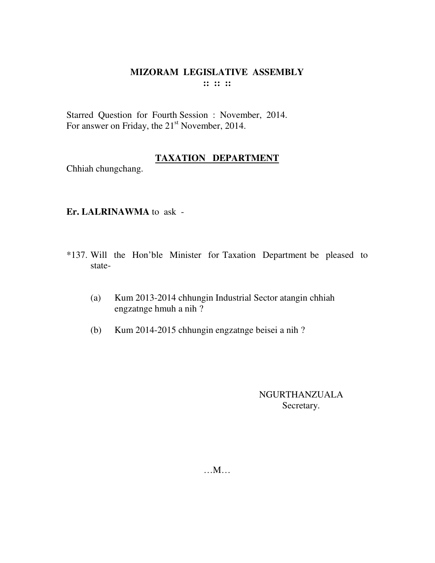Starred Question for Fourth Session : November, 2014. For answer on Friday, the 21<sup>st</sup> November, 2014.

# **TAXATION DEPARTMENT**

Chhiah chungchang.

# **Er. LALRINAWMA** to ask -

- \*137. Will the Hon'ble Minister for Taxation Department be pleased to state-
	- (a) Kum 2013-2014 chhungin Industrial Sector atangin chhiah engzatnge hmuh a nih ?
	- (b) Kum 2014-2015 chhungin engzatnge beisei a nih ?

## NGURTHANZUALA Secretary.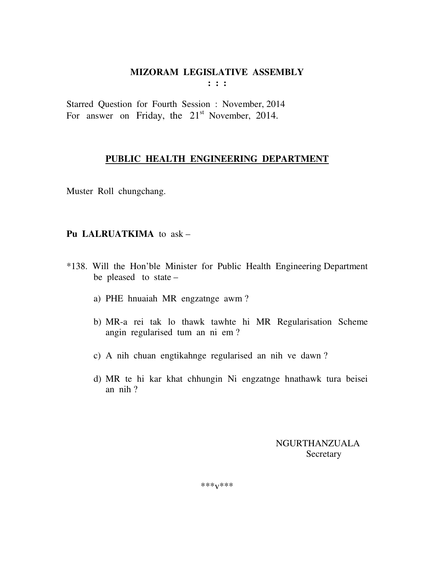**: : :** 

Starred Question for Fourth Session : November, 2014 For answer on Friday, the  $21<sup>st</sup>$  November, 2014.

# **PUBLIC HEALTH ENGINEERING DEPARTMENT**

Muster Roll chungchang.

# **Pu LALRUATKIMA** to ask –

- \*138. Will the Hon'ble Minister for Public Health Engineering Department be pleased to state –
	- a) PHE hnuaiah MR engzatnge awm ?
	- b) MR-a rei tak lo thawk tawhte hi MR Regularisation Scheme angin regularised tum an ni em ?
	- c) A nih chuan engtikahnge regularised an nih ve dawn ?
	- d) MR te hi kar khat chhungin Ni engzatnge hnathawk tura beisei an nih ?

 NGURTHANZUALA **Secretary** 

\*\*\*v\*\*\*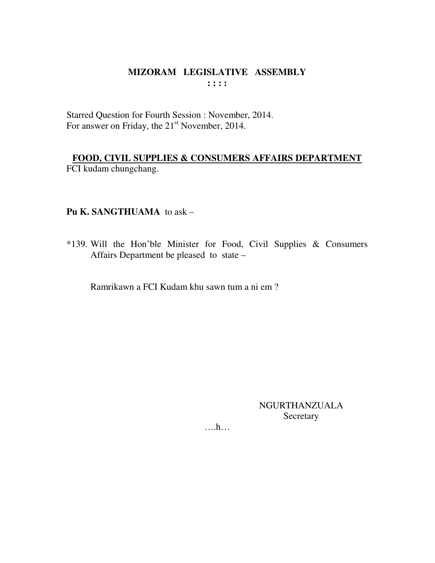Starred Question for Fourth Session : November, 2014. For answer on Friday, the 21<sup>st</sup> November, 2014.

FOOD, CIVIL SUPPLIES & CONSUMERS AFFAIRS DEPARTMENT FCI kudam chungchang.

# Pu K. SANGTHUAMA to ask -

\*139. Will the Hon'ble Minister for Food, Civil Supplies & Consumers Affairs Department be pleased to state -

Ramrikawn a FCI Kudam khu sawn tum a ni em?

**NGURTHANZUALA** Secretary

 $\dots h\dots$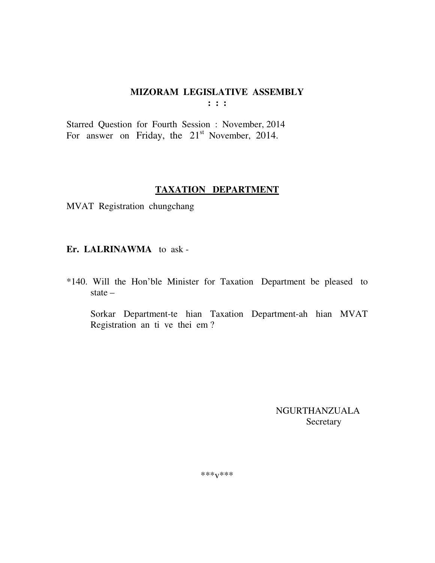Starred Question for Fourth Session : November, 2014 For answer on Friday, the 21<sup>st</sup> November, 2014.

#### **TAXATION DEPARTMENT**

MVAT Registration chungchang

Er. LALRINAWMA to ask-

\*140. Will the Hon'ble Minister for Taxation Department be pleased to state  $-$ 

Sorkar Department-te hian Taxation Department-ah hian MVAT Registration an ti ve thei em?

> **NGURTHANZUALA** Secretary

\*\*\* $V$ \*\*\*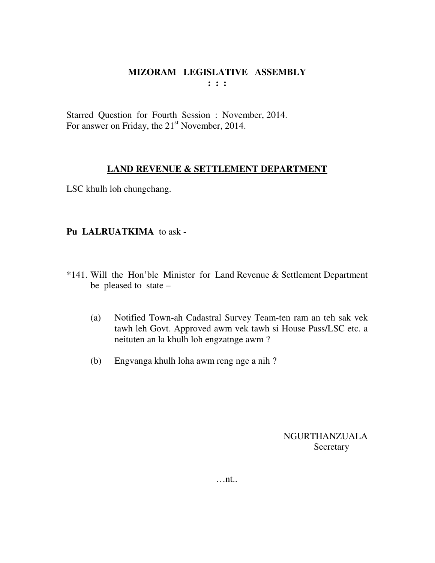Starred Question for Fourth Session : November, 2014. For answer on Friday, the 21<sup>st</sup> November, 2014.

## **LAND REVENUE & SETTLEMENT DEPARTMENT**

LSC khulh loh chungchang.

# **Pu LALRUATKIMA** to ask -

- \*141. Will the Hon'ble Minister for Land Revenue & Settlement Department be pleased to state –
	- (a) Notified Town-ah Cadastral Survey Team-ten ram an teh sak vek tawh leh Govt. Approved awm vek tawh si House Pass/LSC etc. a neituten an la khulh loh engzatnge awm ?
	- (b) Engvanga khulh loha awm reng nge a nih ?

NGURTHANZUALA **Secretary**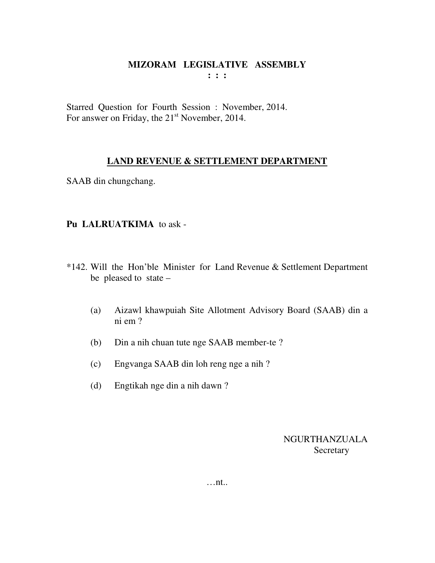Starred Question for Fourth Session : November, 2014. For answer on Friday, the 21<sup>st</sup> November, 2014.

# **LAND REVENUE & SETTLEMENT DEPARTMENT**

SAAB din chungchang.

# **Pu LALRUATKIMA** to ask -

- \*142. Will the Hon'ble Minister for Land Revenue & Settlement Department be pleased to state –
	- (a) Aizawl khawpuiah Site Allotment Advisory Board (SAAB) din a ni em ?
	- (b) Din a nih chuan tute nge SAAB member-te ?
	- (c) Engvanga SAAB din loh reng nge a nih ?
	- (d) Engtikah nge din a nih dawn ?

NGURTHANZUALA Secretary